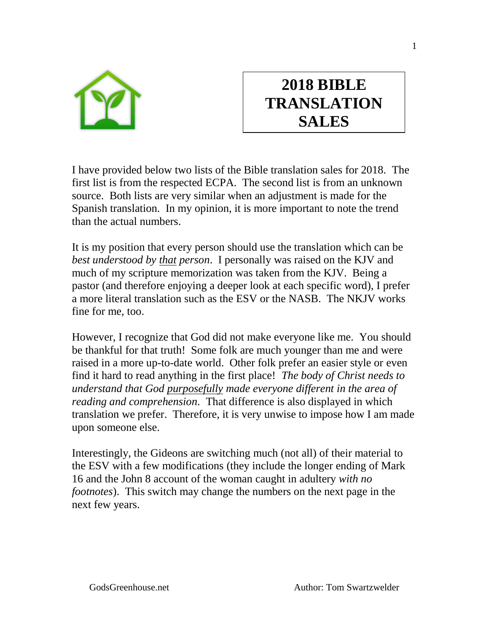

## **2018 BIBLE TRANSLATION SALES**

I have provided below two lists of the Bible translation sales for 2018. The first list is from the respected ECPA. The second list is from an unknown source. Both lists are very similar when an adjustment is made for the Spanish translation. In my opinion, it is more important to note the trend than the actual numbers.

It is my position that every person should use the translation which can be *best understood by that person*. I personally was raised on the KJV and much of my scripture memorization was taken from the KJV. Being a pastor (and therefore enjoying a deeper look at each specific word), I prefer a more literal translation such as the ESV or the NASB. The NKJV works fine for me, too.

However, I recognize that God did not make everyone like me. You should be thankful for that truth! Some folk are much younger than me and were raised in a more up-to-date world. Other folk prefer an easier style or even find it hard to read anything in the first place! *The body of Christ needs to understand that God purposefully made everyone different in the area of reading and comprehension.* That difference is also displayed in which translation we prefer. Therefore, it is very unwise to impose how I am made upon someone else.

Interestingly, the Gideons are switching much (not all) of their material to the ESV with a few modifications (they include the longer ending of Mark 16 and the John 8 account of the woman caught in adultery *with no footnotes*). This switch may change the numbers on the next page in the next few years.